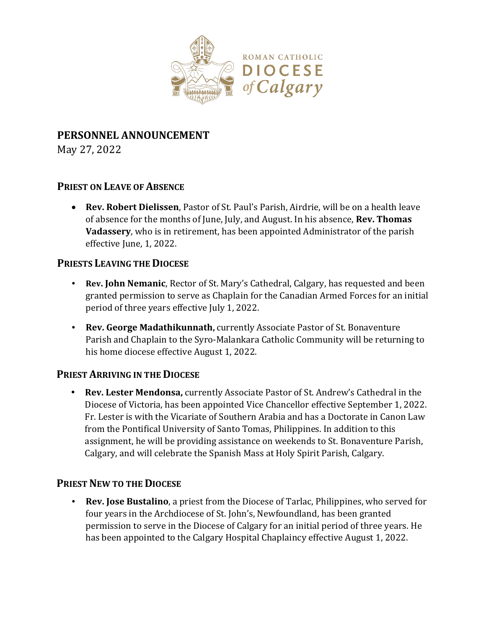

# **PERSONNEL ANNOUNCEMENT**

May 27, 2022

## **PRIEST ON LEAVE OF ABSENCE**

 **Rev. Robert Dielissen**, Pastor of St. Paul's Parish, Airdrie, will be on a health leave of absence for the months of June, July, and August. In his absence, **Rev. Thomas Vadassery**, who is in retirement, has been appointed Administrator of the parish effective June, 1, 2022.

## **PRIESTS LEAVING THE DIOCESE**

- **Rev. John Nemanic**, Rector of St. Mary's Cathedral, Calgary, has requested and been granted permission to serve as Chaplain for the Canadian Armed Forces for an initial period of three years effective July 1, 2022.
- **Rev. George Madathikunnath,** currently Associate Pastor of St. Bonaventure Parish and Chaplain to the Syro-Malankara Catholic Community will be returning to his home diocese effective August 1, 2022.

## **PRIEST ARRIVING IN THE DIOCESE**

 **Rev. Lester Mendonsa,** currently Associate Pastor of St. Andrew's Cathedral in the Diocese of Victoria, has been appointed Vice Chancellor effective September 1, 2022. Fr. Lester is with the Vicariate of Southern Arabia and has a Doctorate in Canon Law from the Pontifical University of Santo Tomas, Philippines. In addition to this assignment, he will be providing assistance on weekends to St. Bonaventure Parish, Calgary, and will celebrate the Spanish Mass at Holy Spirit Parish, Calgary.

## **PRIEST NEW TO THE DIOCESE**

 **Rev. Jose Bustalino**, a priest from the Diocese of Tarlac, Philippines, who served for four years in the Archdiocese of St. John's, Newfoundland, has been granted permission to serve in the Diocese of Calgary for an initial period of three years. He has been appointed to the Calgary Hospital Chaplaincy effective August 1, 2022.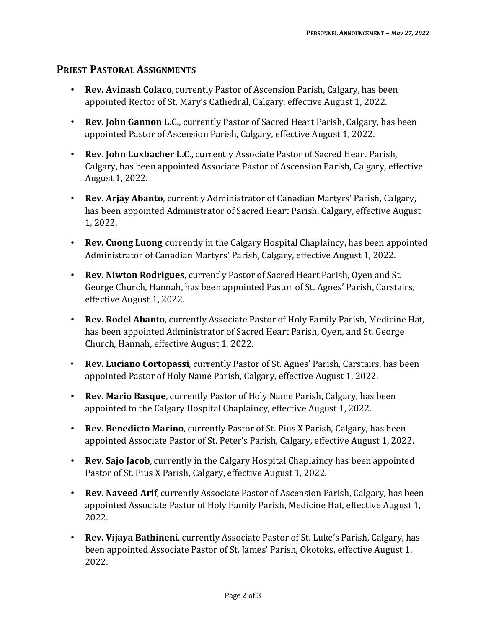#### **PRIEST PASTORAL ASSIGNMENTS**

- **Rev. Avinash Colaco,** currently Pastor of Ascension Parish, Calgary, has been appointed Rector of St. Mary's Cathedral, Calgary, effective August 1, 2022.
- **Rev. John Gannon L.C.**, currently Pastor of Sacred Heart Parish, Calgary, has been appointed Pastor of Ascension Parish, Calgary, effective August 1, 2022.
- **Rev. John Luxbacher L.C.**, currently Associate Pastor of Sacred Heart Parish, Calgary, has been appointed Associate Pastor of Ascension Parish, Calgary, effective August 1, 2022.
- **Rev. Arjay Abanto**, currently Administrator of Canadian Martyrs' Parish, Calgary, has been appointed Administrator of Sacred Heart Parish, Calgary, effective August 1, 2022.
- **Rev. Cuong Luong**, currently in the Calgary Hospital Chaplaincy, has been appointed Administrator of Canadian Martyrs' Parish, Calgary, effective August 1, 2022.
- **Rev. Niwton Rodrigues**, currently Pastor of Sacred Heart Parish, Oyen and St. George Church, Hannah, has been appointed Pastor of St. Agnes' Parish, Carstairs, effective August 1, 2022.
- **Rev. Rodel Abanto**, currently Associate Pastor of Holy Family Parish, Medicine Hat, has been appointed Administrator of Sacred Heart Parish, Oyen, and St. George Church, Hannah, effective August 1, 2022.
- **Rev. Luciano Cortopassi**, currently Pastor of St. Agnes' Parish, Carstairs, has been appointed Pastor of Holy Name Parish, Calgary, effective August 1, 2022.
- **Rev. Mario Basque**, currently Pastor of Holy Name Parish, Calgary, has been appointed to the Calgary Hospital Chaplaincy, effective August 1, 2022.
- **Rev. Benedicto Marino**, currently Pastor of St. Pius X Parish, Calgary, has been appointed Associate Pastor of St. Peter's Parish, Calgary, effective August 1, 2022.
- **Rev. Sajo Jacob**, currently in the Calgary Hospital Chaplaincy has been appointed Pastor of St. Pius X Parish, Calgary, effective August 1, 2022.
- **Rev. Naveed Arif,** currently Associate Pastor of Ascension Parish, Calgary, has been appointed Associate Pastor of Holy Family Parish, Medicine Hat, effective August 1, 2022.
- **Rev. Vijaya Bathineni,** currently Associate Pastor of St. Luke's Parish, Calgary, has been appointed Associate Pastor of St. James' Parish, Okotoks, effective August 1, 2022.